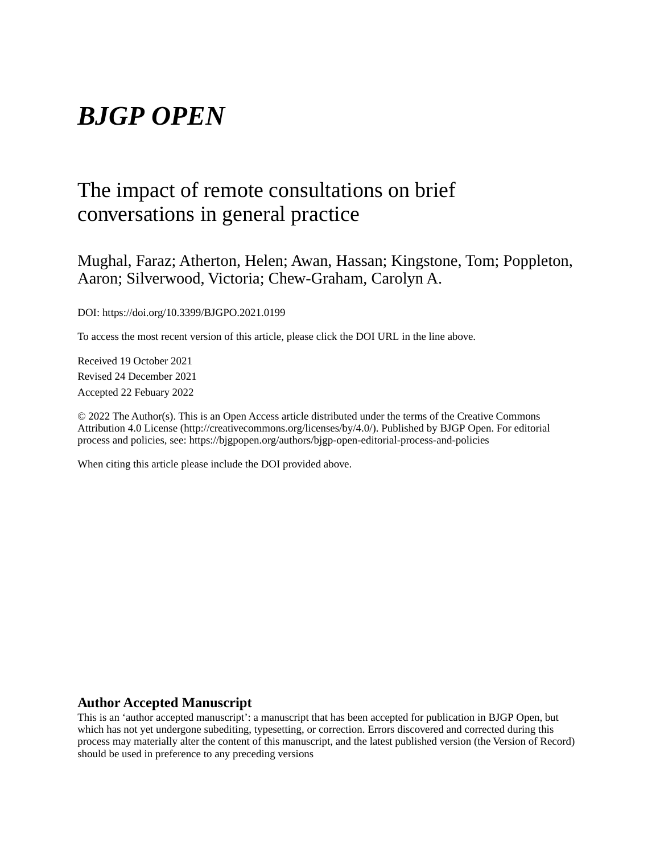# *BJGP OPEN*

## The impact of remote consultations on brief conversations in general practice

Mughal, Faraz; Atherton, Helen; Awan, Hassan; Kingstone, Tom; Poppleton, Aaron; Silverwood, Victoria; Chew-Graham, Carolyn A.

DOI: https://doi.org/10.3399/BJGPO.2021.0199

To access the most recent version of this article, please click the DOI URL in the line above.

Received 19 October 2021 Revised 24 December 2021 Accepted 22 Febuary 2022

© 2022 The Author(s). This is an Open Access article distributed under the terms of the Creative Commons Attribution 4.0 License (http://creativecommons.org/licenses/by/4.0/). Published by BJGP Open. For editorial process and policies, see: https://bjgpopen.org/authors/bjgp-open-editorial-process-and-policies

When citing this article please include the DOI provided above.

#### **Author Accepted Manuscript**

This is an 'author accepted manuscript': a manuscript that has been accepted for publication in BJGP Open, but which has not yet undergone subediting, typesetting, or correction. Errors discovered and corrected during this process may materially alter the content of this manuscript, and the latest published version (the Version of Record) should be used in preference to any preceding versions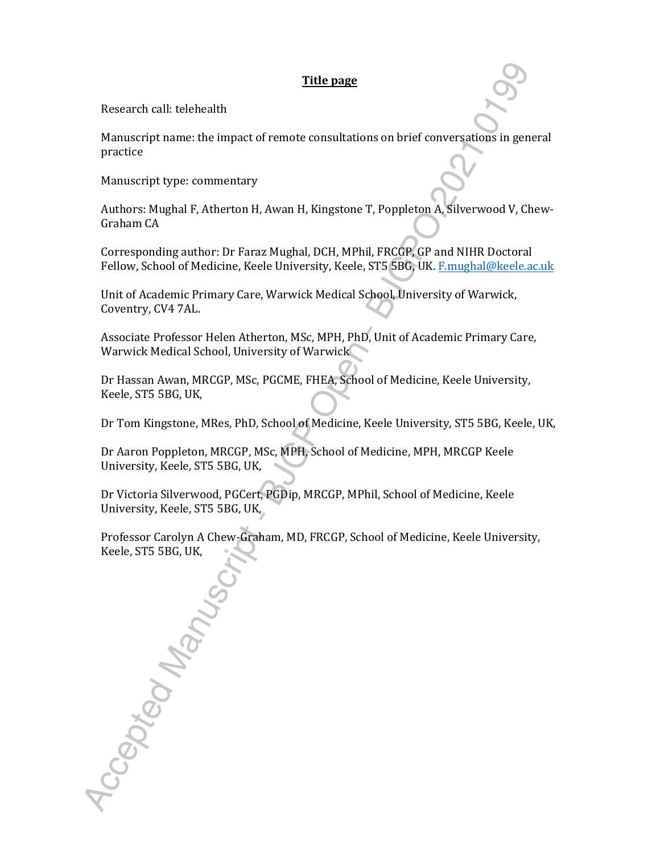#### **Title page**

Research call: telehealth

Manuscript name: the impact of remote consultations on brief conversations in general practice

Manuscript type: commentary

Authors: Mughal F, Atherton H, Awan H, Kingstone T, Poppleton A, Silverwood V, Chew-Graham CA

Corresponding author: Dr Faraz Mughal, DCH, MPhil, FRCGP, GP and NIHR Doctoral Fellow, School of Medicine, Keele University, Keele, ST5 5BG, UK. F.mughal@keele.ac.uk

Unit of Academic Primary Care, Warwick Medical School, University of Warwick, Coventry, CV4 7AL.

Associate Professor Helen Atherton, MSc, MPH, PhD, Unit of Academic Primary Care, Warwick Medical School, University of Warwick

Dr Hassan Awan, MRCGP, MSc, PGCME, FHEA, School of Medicine, Keele University, Keele, ST5 5BG, UK,

Dr Tom Kingstone, MRes, PhD, School of Medicine, Keele University, ST5 5BG, Keele, UK,

Dr Aaron Poppleton, MRCGP, MSc, MPH, School of Medicine, MPH, MRCGP Keele University, Keele, ST5 5BG, UK,

Dr Victoria Silverwood, PGCert, PGDip, MRCGP, MPhil, School of Medicine, Keele University, Keele, ST5 5BG, UK,

Professor Carolyn A Chew-Graham, MD, FRCGP, School of Medicine, Keele University, Keele, ST5 5BG, UK,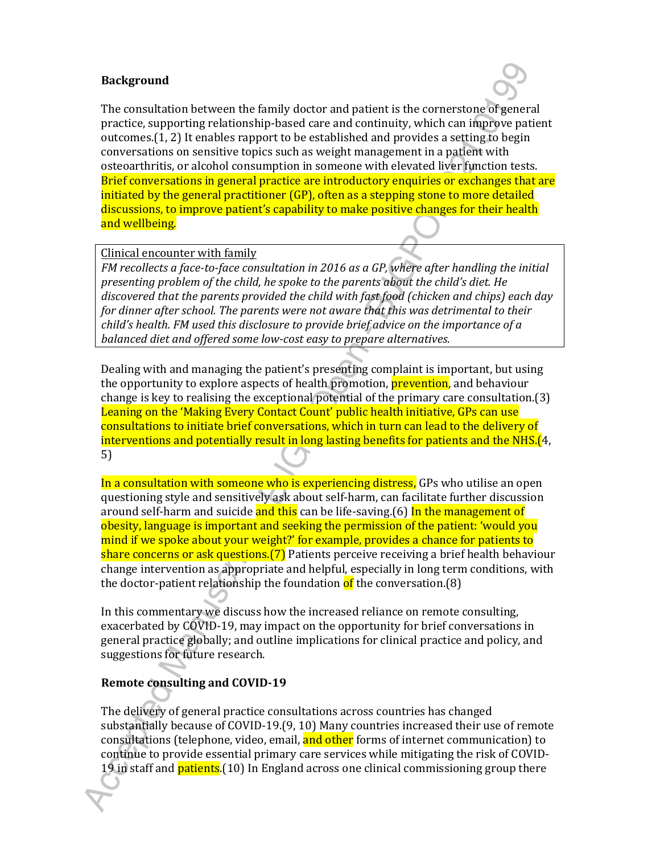#### **Background**

The consultation between the family doctor and patient is the cornerstone of general practice, supporting relationship-based care and continuity, which can improve patient outcomes.(1, 2) It enables rapport to be established and provides a setting to begin conversations on sensitive topics such as weight management in a patient with osteoarthritis, or alcohol consumption in someone with elevated liver function tests. Brief conversations in general practice are introductory enquiries or exchanges that are initiated by the general practitioner (GP), often as a stepping stone to more detailed discussions, to improve patient's capability to make positive changes for their health and wellbeing.

#### Clinical encounter with family

*FM recollects a face-to-face consultation in 2016 as a GP, where after handling the initial presenting problem of the child, he spoke to the parents about the child's diet. He discovered that the parents provided the child with fast food (chicken and chips) each day for dinner after school. The parents were not aware that this was detrimental to their child's health. FM used this disclosure to provide brief advice on the importance of a balanced diet and offered some low-cost easy to prepare alternatives.* 

Dealing with and managing the patient's presenting complaint is important, but using the opportunity to explore aspects of health promotion, **prevention**, and behaviour change is key to realising the exceptional potential of the primary care consultation.(3) Leaning on the 'Making Every Contact Count' public health initiative, GPs can use consultations to initiate brief conversations, which in turn can lead to the delivery of interventions and potentially result in long lasting benefits for patients and the NHS.(4, 5)

In a consultation with someone who is experiencing distress, GPs who utilise an open questioning style and sensitively ask about self-harm, can facilitate further discussion around self-harm and suicide and this can be life-saving.(6) In the management of obesity, language is important and seeking the permission of the patient: 'would you mind if we spoke about your weight?' for example, provides a chance for patients to share concerns or ask questions.(7) Patients perceive receiving a brief health behaviour change intervention as appropriate and helpful, especially in long term conditions, with the doctor-patient relationship the foundation of the conversation.(8)

In this commentary we discuss how the increased reliance on remote consulting, exacerbated by COVID-19, may impact on the opportunity for brief conversations in general practice globally; and outline implications for clinical practice and policy, and suggestions for future research.

#### **Remote consulting and COVID-19**

The delivery of general practice consultations across countries has changed substantially because of COVID-19.(9, 10) Many countries increased their use of remote consultations (telephone, video, email, and other forms of internet communication) to continue to provide essential primary care services while mitigating the risk of COVID-19 in staff and **patients**.(10) In England across one clinical commissioning group there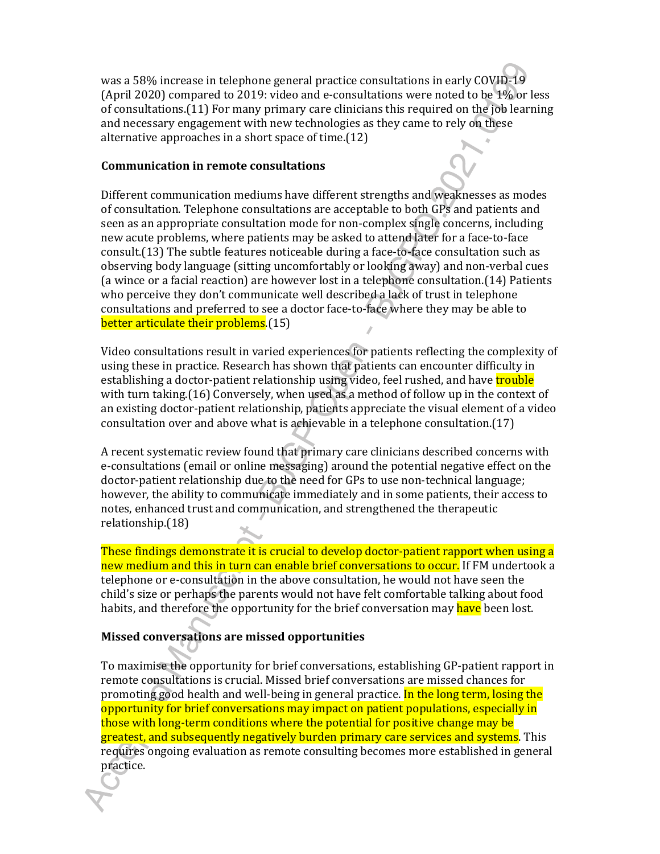was a 58% increase in telephone general practice consultations in early COVID-19 (April 2020) compared to 2019: video and e-consultations were noted to be 1% or less of consultations.(11) For many primary care clinicians this required on the job learning and necessary engagement with new technologies as they came to rely on these alternative approaches in a short space of time.(12)

#### **Communication in remote consultations**

Different communication mediums have different strengths and weaknesses as modes of consultation. Telephone consultations are acceptable to both GPs and patients and seen as an appropriate consultation mode for non-complex single concerns, including new acute problems, where patients may be asked to attend later for a face-to-face consult.(13) The subtle features noticeable during a face-to-face consultation such as observing body language (sitting uncomfortably or looking away) and non-verbal cues (a wince or a facial reaction) are however lost in a telephone consultation.(14) Patients who perceive they don't communicate well described a lack of trust in telephone consultations and preferred to see a doctor face-to-face where they may be able to better articulate their problems. (15)

Video consultations result in varied experiences for patients reflecting the complexity of using these in practice. Research has shown that patients can encounter difficulty in establishing a doctor-patient relationship using video, feel rushed, and have **trouble** with turn taking.(16) Conversely, when used as a method of follow up in the context of an existing doctor-patient relationship, patients appreciate the visual element of a video consultation over and above what is achievable in a telephone consultation.(17)

A recent systematic review found that primary care clinicians described concerns with e-consultations (email or online messaging) around the potential negative effect on the doctor-patient relationship due to the need for GPs to use non-technical language; however, the ability to communicate immediately and in some patients, their access to notes, enhanced trust and communication, and strengthened the therapeutic relationship.(18)

These findings demonstrate it is crucial to develop doctor-patient rapport when using a new medium and this in turn can enable brief conversations to occur. If FM undertook a telephone or e-consultation in the above consultation, he would not have seen the child's size or perhaps the parents would not have felt comfortable talking about food habits, and therefore the opportunity for the brief conversation may have been lost.

### **Missed conversations are missed opportunities**

To maximise the opportunity for brief conversations, establishing GP-patient rapport in remote consultations is crucial. Missed brief conversations are missed chances for promoting good health and well-being in general practice. In the long term, losing the opportunity for brief conversations may impact on patient populations, especially in those with long-term conditions where the potential for positive change may be greatest, and subsequently negatively burden primary care services and systems. This requires ongoing evaluation as remote consulting becomes more established in general practice.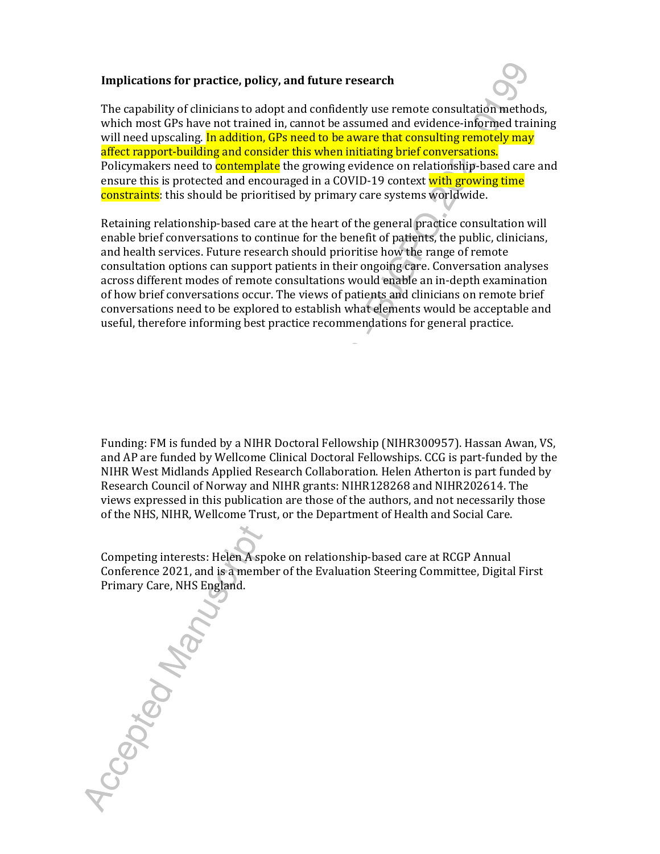#### **Implications for practice, policy, and future research**

The capability of clinicians to adopt and confidently use remote consultation methods, which most GPs have not trained in, cannot be assumed and evidence-informed training will need upscaling. In addition, GPs need to be aware that consulting remotely may affect rapport-building and consider this when initiating brief conversations. Policymakers need to **contemplate** the growing evidence on relationship-based care and ensure this is protected and encouraged in a COVID-19 context with growing time constraints: this should be prioritised by primary care systems worldwide.

Retaining relationship-based care at the heart of the general practice consultation will enable brief conversations to continue for the benefit of patients, the public, clinicians, and health services. Future research should prioritise how the range of remote consultation options can support patients in their ongoing care. Conversation analyses across different modes of remote consultations would enable an in-depth examination of how brief conversations occur. The views of patients and clinicians on remote brief conversations need to be explored to establish what elements would be acceptable and useful, therefore informing best practice recommendations for general practice.

Funding: FM is funded by a NIHR Doctoral Fellowship (NIHR300957). Hassan Awan, VS, and AP are funded by Wellcome Clinical Doctoral Fellowships. CCG is part-funded by the NIHR West Midlands Applied Research Collaboration. Helen Atherton is part funded by Research Council of Norway and NIHR grants: NIHR128268 and NIHR202614. The views expressed in this publication are those of the authors, and not necessarily those of the NHS, NIHR, Wellcome Trust, or the Department of Health and Social Care.

Competing interests: Helen A spoke on relationship-based care at RCGP Annual Conference 2021, and is a member of the Evaluation Steering Committee, Digital First

Primary Care, NHS England.